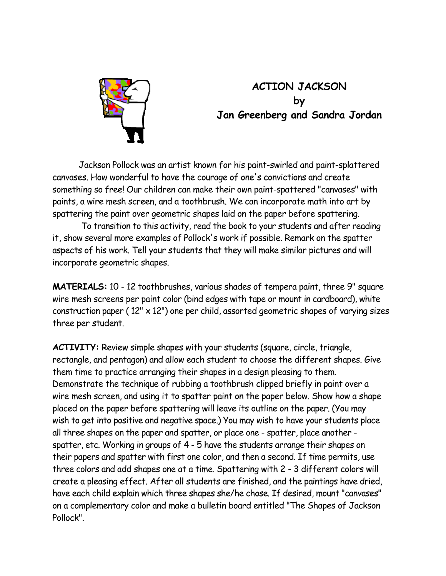

## **ACTION JACKSON by Jan Greenberg and Sandra Jordan**

 Jackson Pollock was an artist known for his paint-swirled and paint-splattered canvases. How wonderful to have the courage of one's convictions and create something so free! Our children can make their own paint-spattered "canvases" with paints, a wire mesh screen, and a toothbrush. We can incorporate math into art by spattering the paint over geometric shapes laid on the paper before spattering.

To transition to this activity, read the book to your students and after reading it, show several more examples of Pollock's work if possible. Remark on the spatter aspects of his work. Tell your students that they will make similar pictures and will incorporate geometric shapes.

**MATERIALS:** 10 - 12 toothbrushes, various shades of tempera paint, three 9" square wire mesh screens per paint color (bind edges with tape or mount in cardboard), white construction paper ( $12'' \times 12''$ ) one per child, assorted geometric shapes of varying sizes three per student.

**ACTIVITY:** Review simple shapes with your students (square, circle, triangle, rectangle, and pentagon) and allow each student to choose the different shapes. Give them time to practice arranging their shapes in a design pleasing to them. Demonstrate the technique of rubbing a toothbrush clipped briefly in paint over a wire mesh screen, and using it to spatter paint on the paper below. Show how a shape placed on the paper before spattering will leave its outline on the paper. (You may wish to get into positive and negative space.) You may wish to have your students place all three shapes on the paper and spatter, or place one - spatter, place another spatter, etc. Working in groups of 4 - 5 have the students arrange their shapes on their papers and spatter with first one color, and then a second. If time permits, use three colors and add shapes one at a time. Spattering with 2 - 3 different colors will create a pleasing effect. After all students are finished, and the paintings have dried, have each child explain which three shapes she/he chose. If desired, mount "canvases" on a complementary color and make a bulletin board entitled "The Shapes of Jackson Pollock".